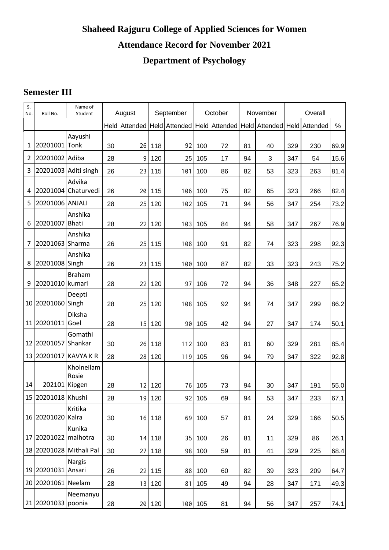## **Shaheed Rajguru College of Applied Sciences for Women Attendance Record for November 2021 Department of Psychology**

## **Semester III**

| S.<br>No.      | Roll No.               | Name of<br>Student      |      | August |        | September |         | October                                                                          |    | November | Overall |     |        |
|----------------|------------------------|-------------------------|------|--------|--------|-----------|---------|----------------------------------------------------------------------------------|----|----------|---------|-----|--------|
|                |                        |                         | Held |        |        |           |         | Attended   Held   Attended   Held   Attended   Held   Attended   Held   Attended |    |          |         |     | %      |
| 1              | 20201001 Tonk          | Aayushi                 | 30   | 26     | 118    | 92        | 100     | 72                                                                               | 81 | 40       | 329     | 230 | 69.9   |
| $\overline{2}$ | 20201002 Adiba         |                         | 28   | 9      | 120    | 25        | 105     | 17                                                                               | 94 | 3        | 347     | 54  | 15.6   |
| 3              |                        | 20201003 Aditi singh    | 26   | 23     | 115    | 101       | 100     | 86                                                                               | 82 | 53       | 323     | 263 | 81.4   |
| 4              | 20201004               | Advika<br>Chaturvedi    | 26   | 20     | 115    | 106       | 100     | 75                                                                               | 82 | 65       | 323     | 266 | 82.4   |
| 5              | 20201006 ANJALI        |                         | 28   | 25     | 120    | 102       | 105     | 71                                                                               | 94 | 56       | 347     | 254 | 73.2   |
| 6              | 20201007 Bhati         | Anshika                 | 28   | 22     | 120    | 103       | 105     | 84                                                                               | 94 | 58       | 347     | 267 | 76.9   |
| 7              | 20201063 Sharma        | Anshika                 | 26   | 25     | 115    | 108       | 100     | 91                                                                               | 82 | 74       | 323     | 298 | 92.3   |
| 8              | 20201008 Singh         | Anshika                 | 26   | 23     | 115    | 100       | 100     | 87                                                                               | 82 | 33       | 323     | 243 | 75.2   |
| 9              | 20201010 kumari        | <b>Braham</b>           | 28   | 22     | 120    | 97        | 106     | 72                                                                               | 94 | 36       | 348     | 227 | 65.2   |
|                | 10 20201060 Singh      | Deepti                  | 28   | 25     | 120    | 108       | 105     | 92                                                                               | 94 | 74       | 347     | 299 | 86.2   |
|                | 11 20201011            | Diksha<br>Goel          | 28   | 15     | 120    | 90        | 105     | 42                                                                               | 94 | 27       | 347     | 174 | 50.1   |
|                | 12 20201057 Shankar    | Gomathi                 | 30   | 26     | 118    | 112       | 100     | 83                                                                               | 81 | 60       | 329     | 281 | 85.4   |
| 13             |                        | 20201017 KAVYA K R      | 28   | 28     | 120    | 119       | 105     | 96                                                                               | 94 | 79       | 347     | 322 | 92.8   |
| 14             | 202101 Kipgen          | Kholneilam<br>Rosie     | 28   | 12     | 120    | 76        | 105     | 73                                                                               | 94 | 30       | 347     | 191 | 55.0   |
|                | 15   20201018   Khushi |                         | 28   |        | 19 120 |           | 92 105  | 69                                                                               | 94 | 53       | 347     | 233 | 67.1   |
|                | 16 20201020 Kalra      | Kritika                 | 30   | 16     | 118    |           | 69 100  | 57                                                                               | 81 | 24       | 329     | 166 | $50.5$ |
|                | 17 20201022 malhotra   | Kunika                  | 30   | 14     | 118    |           | 35 100  | 26                                                                               | 81 | 11       | 329     | 86  | 26.1   |
|                |                        | 18 20201028 Mithali Pal | 30   | 27     | 118    | 98        | 100     | 59                                                                               | 81 | 41       | 329     | 225 | 68.4   |
|                | 19 20201031 Ansari     | <b>Nargis</b>           | 26   | 22     | 115    |           | 88 100  | 60                                                                               | 82 | 39       | 323     | 209 | 64.7   |
|                | 20 20201061 Neelam     |                         | 28   | 13     | 120    | 81        | 105     | 49                                                                               | 94 | 28       | 347     | 171 | 49.3   |
|                | 21 20201033 poonia     | Neemanyu                | 28   |        | 20 120 |           | 100 105 | 81                                                                               | 94 | 56       | 347     | 257 | 74.1   |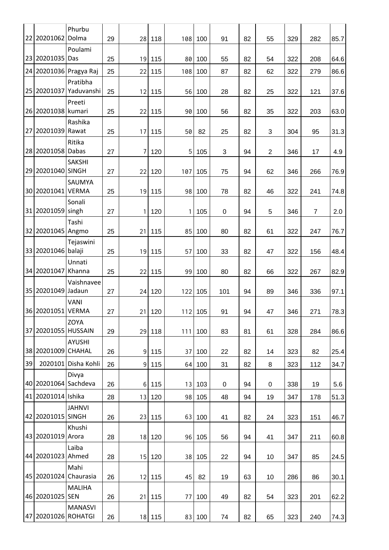|    | 22 20201062         | Phurbu                 |    |                |        |     |         |             |    |                |     |                |      |
|----|---------------------|------------------------|----|----------------|--------|-----|---------|-------------|----|----------------|-----|----------------|------|
|    |                     | Dolma<br>Poulami       | 29 | 28             | 118    | 108 | 100     | 91          | 82 | 55             | 329 | 282            | 85.7 |
| 23 | 20201035            | Das                    | 25 | 19             | 115    | 80  | 100     | 55          | 82 | 54             | 322 | 208            | 64.6 |
|    |                     | 24 20201036 Pragya Raj | 25 | 22             | 115    | 108 | 100     | 87          | 82 | 62             | 322 | 279            | 86.6 |
|    |                     | Pratibha               |    |                |        |     |         |             |    |                |     |                |      |
| 25 | 20201037            | Yaduvanshi             | 25 | 12             | 115    | 56  | 100     | 28          | 82 | 25             | 322 | 121            | 37.6 |
| 26 | 20201038 kumari     | Preeti                 | 25 |                | 22 115 | 90  | 100     | 56          | 82 | 35             | 322 | 203            | 63.0 |
|    |                     | Rashika                |    |                |        |     |         |             |    |                |     |                |      |
| 27 | 20201039 Rawat      |                        | 25 | 17             | 115    | 50  | 82      | 25          | 82 | 3              | 304 | 95             | 31.3 |
|    | 28 20201058         | Ritika<br>Dabas        | 27 | 7              | 120    | 5   | 105     | 3           | 94 | $\overline{2}$ | 346 | 17             | 4.9  |
|    |                     | <b>SAKSHI</b>          |    |                |        |     |         |             |    |                |     |                |      |
|    | 29 20201040 SINGH   |                        | 27 | 22             | 120    | 107 | 105     | 75          | 94 | 62             | 346 | 266            | 76.9 |
|    | 30 20201041         | SAUMYA<br><b>VERMA</b> |    |                |        |     |         |             |    |                |     |                |      |
|    |                     | Sonali                 | 25 | 19             | 115    | 98  | 100     | 78          | 82 | 46             | 322 | 241            | 74.8 |
| 31 | 20201059 singh      |                        | 27 | 1              | 120    | 1   | 105     | $\mathbf 0$ | 94 | 5              | 346 | $\overline{7}$ | 2.0  |
|    |                     | Tashi                  |    |                |        |     |         |             |    |                |     |                |      |
|    | 32 20201045 Angmo   |                        | 25 | 21             | 115    | 85  | 100     | 80          | 82 | 61             | 322 | 247            | 76.7 |
|    | 33 20201046 balaji  | Tejaswini              | 25 |                | 19 115 | 57  | 100     | 33          | 82 | 47             | 322 | 156            | 48.4 |
|    |                     | Unnati                 |    |                |        |     |         |             |    |                |     |                |      |
|    | 34 20201047 Khanna  |                        | 25 | 22             | 115    | 99  | 100     | 80          | 82 | 66             | 322 | 267            | 82.9 |
|    | 35 20201049 Jadaun  | Vaishnavee             | 27 | 24             | 120    | 122 | 105     | 101         | 94 | 89             | 346 | 336            | 97.1 |
|    |                     | VANI                   |    |                |        |     |         |             |    |                |     |                |      |
|    | 36 20201051 VERMA   |                        | 27 | 21             | 120    |     | 112 105 | 91          | 94 | 47             | 346 | 271            | 78.3 |
| 37 | 20201055 HUSSAIN    | ZOYA                   | 29 |                | 29 118 | 111 | 100     | 83          | 81 | 61             | 328 | 284            | 86.6 |
|    |                     | <b>AYUSHI</b>          |    |                |        |     |         |             |    |                |     |                |      |
| 38 | 20201009 CHAHAL     |                        | 26 | $\overline{9}$ | 115    | 37  | 100     | 22          | 82 | 14             | 323 | 82             | 25.4 |
| 39 |                     | 2020101 Disha Kohli    | 26 | 9              | 115    | 64  | 100     | 31          | 82 | 8              | 323 | 112            | 34.7 |
|    | 20201064 Sachdeva   | Divya                  |    |                |        |     |         |             |    |                |     |                |      |
| 40 | 41 20201014 Ishika  |                        | 26 | $6 \,$         | 115    | 13  | 103     | $\mathbf 0$ | 94 | $\pmb{0}$      | 338 | 19             | 5.6  |
|    |                     | <b>JAHNVI</b>          | 28 | 13             | 120    | 98  | 105     | 48          | 94 | 19             | 347 | 178            | 51.3 |
|    | 42 20201015 SINGH   |                        | 26 | 23             | 115    | 63  | 100     | 41          | 82 | 24             | 323 | 151            | 46.7 |
|    |                     | Khushi                 |    |                |        |     |         |             |    |                |     |                |      |
|    | 43 20201019 Arora   |                        | 28 | 18             | 120    | 96  | 105     | 56          | 94 | 41             | 347 | 211            | 60.8 |
|    | 44 20201023 Ahmed   | Laiba                  | 28 | 15             | 120    | 38  | 105     | 22          | 94 | 10             | 347 | 85             | 24.5 |
|    |                     | Mahi                   |    |                |        |     |         |             |    |                |     |                |      |
|    | 45 20201024         | Chaurasia              | 26 | 12             | 115    | 45  | 82      | 19          | 63 | 10             | 286 | 86             | 30.1 |
|    | 46 20201025 SEN     | <b>MALIHA</b>          | 26 | 21             | 115    | 77  | 100     | 49          | 82 | 54             | 323 | 201            | 62.2 |
|    |                     | <b>MANASVI</b>         |    |                |        |     |         |             |    |                |     |                |      |
|    | 47 20201026 ROHATGI |                        | 26 |                | 18 115 | 83  | 100     | 74          | 82 | 65             | 323 | 240            | 74.3 |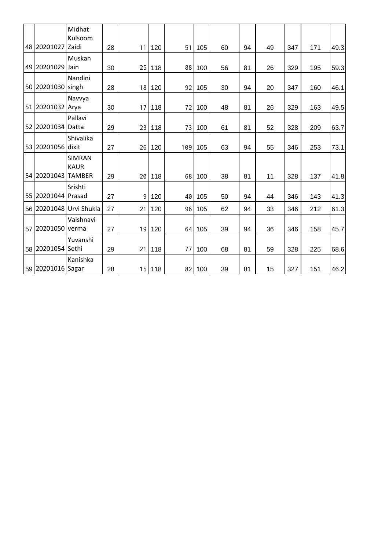|    |                    | Midhat<br>Kulsoom                             |    |    |        |     |     |    |    |    |     |     |      |
|----|--------------------|-----------------------------------------------|----|----|--------|-----|-----|----|----|----|-----|-----|------|
| 48 | 20201027 Zaidi     |                                               | 28 | 11 | 120    | 51  | 105 | 60 | 94 | 49 | 347 | 171 | 49.3 |
| 49 | 20201029           | Muskan<br>Jain                                | 30 | 25 | 118    | 88  | 100 | 56 | 81 | 26 | 329 | 195 | 59.3 |
| 50 | 20201030 singh     | Nandini                                       | 28 | 18 | 120    | 92  | 105 | 30 | 94 | 20 | 347 | 160 | 46.1 |
| 51 | 20201032 Arya      | Navvya                                        | 30 | 17 | 118    | 72  | 100 | 48 | 81 | 26 | 329 | 163 | 49.5 |
| 52 | 20201034           | Pallavi<br>Datta                              | 29 | 23 | 118    | 73  | 100 | 61 | 81 | 52 | 328 | 209 | 63.7 |
| 53 | 20201056 dixit     | Shivalika                                     | 27 | 26 | 120    | 109 | 105 | 63 | 94 | 55 | 346 | 253 | 73.1 |
|    | 54 20201043        | <b>SIMRAN</b><br><b>KAUR</b><br><b>TAMBER</b> | 29 | 20 | 118    | 68  | 100 | 38 | 81 | 11 | 328 | 137 | 41.8 |
|    | 55 20201044 Prasad | Srishti                                       | 27 | 9  | 120    | 40  | 105 | 50 | 94 | 44 | 346 | 143 | 41.3 |
| 56 |                    | 20201048 Urvi Shukla                          | 27 | 21 | 120    | 96  | 105 | 62 | 94 | 33 | 346 | 212 | 61.3 |
| 57 | 20201050 verma     | Vaishnavi                                     | 27 | 19 | 120    | 64  | 105 | 39 | 94 | 36 | 346 | 158 | 45.7 |
|    | 58 20201054 Sethi  | Yuvanshi                                      | 29 | 21 | 118    | 77  | 100 | 68 | 81 | 59 | 328 | 225 | 68.6 |
|    | 59 20201016 Sagar  | Kanishka                                      | 28 |    | 15 118 | 82  | 100 | 39 | 81 | 15 | 327 | 151 | 46.2 |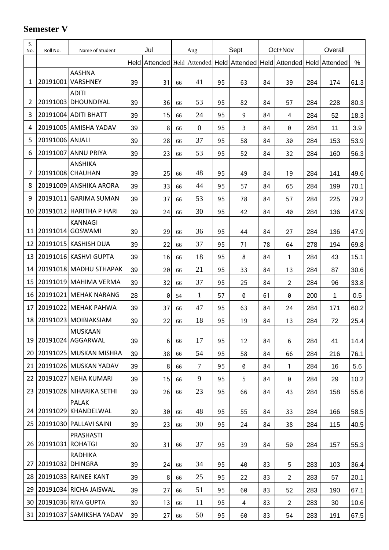## **Semester V**

| S.<br>No. | Roll No.         | Name of Student                     | Jul |                                                                                     | Aug |                  | Sept |    | Oct+Nov |                | Overall |     |      |
|-----------|------------------|-------------------------------------|-----|-------------------------------------------------------------------------------------|-----|------------------|------|----|---------|----------------|---------|-----|------|
|           |                  |                                     |     | Held Attended   Held Attended   Held   Attended   Held   Attended   Held   Attended |     |                  |      |    |         |                |         |     | %    |
| 1         | 20191001         | <b>AASHNA</b><br><b>VARSHNEY</b>    | 39  | 31                                                                                  | 66  | 41               | 95   | 63 | 84      | 39             | 284     | 174 | 61.3 |
| 2         |                  | <b>ADITI</b><br>20191003 DHOUNDIYAL | 39  | 36                                                                                  | 66  | 53               | 95   | 82 | 84      | 57             | 284     | 228 | 80.3 |
| 3         | 20191004         | <b>ADITI BHATT</b>                  | 39  | 15                                                                                  | 66  | 24               | 95   | 9  | 84      | 4              | 284     | 52  | 18.3 |
| 4         |                  | 20191005 AMISHA YADAV               | 39  | 8                                                                                   | 66  | $\boldsymbol{0}$ | 95   | 3  | 84      | 0              | 284     | 11  | 3.9  |
| 5         | 20191006 ANJALI  |                                     | 39  | 28                                                                                  | 66  | 37               | 95   | 58 | 84      | 30             | 284     | 153 | 53.9 |
| 6         | 20191007         | <b>ANNU PRIYA</b>                   | 39  | 23                                                                                  | 66  | 53               | 95   | 52 | 84      | 32             | 284     | 160 | 56.3 |
| 7         |                  | <b>ANSHIKA</b><br>20191008 CHAUHAN  | 39  | 25                                                                                  | 66  | 48               | 95   | 49 | 84      | 19             | 284     | 141 | 49.6 |
| 8         |                  | 20191009 ANSHIKA ARORA              | 39  | 33                                                                                  | 66  | 44               | 95   | 57 | 84      | 65             | 284     | 199 | 70.1 |
| 9         | 20191011         | <b>GARIMA SUMAN</b>                 | 39  | 37                                                                                  | 66  | 53               | 95   | 78 | 84      | 57             | 284     | 225 | 79.2 |
| 10        | 20191012         | HARITHA P HARI                      | 39  | 24                                                                                  | 66  | 30               | 95   | 42 | 84      | 40             | 284     | 136 | 47.9 |
| 11        | 20191014         | <b>KANNAGI</b><br><b>GOSWAMI</b>    | 39  | 29                                                                                  | 66  | 36               | 95   | 44 | 84      | 27             | 284     | 136 | 47.9 |
| 12        | 20191015         | <b>KASHISH DUA</b>                  | 39  | 22                                                                                  | 66  | 37               | 95   | 71 | 78      | 64             | 278     | 194 | 69.8 |
| 13        |                  | 20191016 KASHVI GUPTA               | 39  | 16                                                                                  | 66  | 18               | 95   | 8  | 84      | 1              | 284     | 43  | 15.1 |
| 14        |                  | 20191018 MADHU STHAPAK              | 39  | 20                                                                                  | 66  | 21               | 95   | 33 | 84      | 13             | 284     | 87  | 30.6 |
| 15        |                  | 20191019 MAHIMA VERMA               | 39  | 32                                                                                  | 66  | 37               | 95   | 25 | 84      | $\overline{2}$ | 284     | 96  | 33.8 |
| 16        | 20191021         | MEHAK NARANG                        | 28  | 0                                                                                   | 54  | 1                | 57   | 0  | 61      | 0              | 200     | 1   | 0.5  |
| 17        | 20191022         | MEHAK PAHWA                         | 39  | 37                                                                                  | 66  | 47               | 95   | 63 | 84      | 24             | 284     | 171 | 60.2 |
| 18        | 20191023         | MOIBIAKSIAM                         | 39  | 22                                                                                  | 66  | 18               | 95   | 19 | 84      | 13             | 284     | 72  | 25.4 |
| 19        |                  | <b>MUSKAAN</b><br>20191024 AGGARWAL | 39  | 6                                                                                   | 66  | 17               | 95   | 12 | 84      | 6              | 284     | 41  | 14.4 |
| 20        |                  | 20191025 MUSKAN MISHRA              | 39  | 38                                                                                  | 66  | 54               | 95   | 58 | 84      | 66             | 284     | 216 | 76.1 |
| 21        |                  | 20191026 MUSKAN YADAV               | 39  | 8                                                                                   | 66  | $\tau$           | 95   | 0  | 84      | $\mathbf{1}$   | 284     | 16  | 5.6  |
| 22        |                  | 20191027 NEHA KUMARI                | 39  | 15                                                                                  | 66  | 9                | 95   | 5  | 84      | 0              | 284     | 29  | 10.2 |
| 23        |                  | 20191028 NIHARIKA SETHI             | 39  | 26                                                                                  | 66  | 23               | 95   | 66 | 84      | 43             | 284     | 158 | 55.6 |
| 24        |                  | <b>PALAK</b><br>20191029 KHANDELWAL | 39  | 30                                                                                  | 66  | 48               | 95   | 55 | 84      | 33             | 284     | 166 | 58.5 |
| 25        |                  | 20191030 PALLAVI SAINI              | 39  | 23                                                                                  | 66  | 30               | 95   | 24 | 84      | 38             | 284     | 115 | 40.5 |
| 26        | 20191031 ROHATGI | <b>PRASHASTI</b>                    | 39  | 31                                                                                  | 66  | 37               | 95   | 39 | 84      | 50             | 284     | 157 | 55.3 |
| 27        | 20191032         | RADHIKA<br><b>DHINGRA</b>           | 39  | 24                                                                                  | 66  | 34               | 95   | 40 | 83      | 5              | 283     | 103 | 36.4 |
| 28        |                  | 20191033 RAINEE KANT                | 39  | 8                                                                                   | 66  | 25               | 95   | 22 | 83      | $\overline{2}$ | 283     | 57  | 20.1 |
| 29        |                  | 20191034 RICHA JAISWAL              | 39  | 27                                                                                  | 66  | 51               | 95   | 60 | 83      | 52             | 283     | 190 | 67.1 |
| 30        |                  | 20191036 RIYA GUPTA                 | 39  | 13                                                                                  | 66  | 11               | 95   | 4  | 83      | $\overline{2}$ | 283     | 30  | 10.6 |
| 31        |                  | 20191037 SAMIKSHA YADAV             | 39  | 27                                                                                  | 66  | 50               | 95   | 60 | 83      | 54             | 283     | 191 | 67.5 |